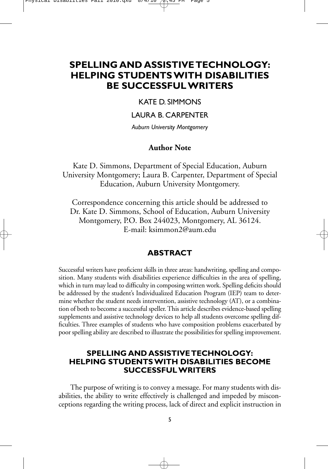# **SPELLING AND ASSISTIVE TECHNOLOGY: HELPING STUDENTS WITH DISABILITIES BE SUCCESSFUL WRITERS**

# KATE D. SIMMONS

# LAURA B. CARPENTER

*Auburn University Montgomery*

# **Author Note**

Kate D. Simmons, Department of Special Education, Auburn University Montgomery; Laura B. Carpenter, Department of Special Education, Auburn University Montgomery.

Correspondence concerning this article should be addressed to Dr. Kate D. Simmons, School of Education, Auburn University Montgomery, P.O. Box 244023, Montgomery, AL 36124. E-mail: ksimmon2@aum.edu

# **ABSTRACT**

Successful writers have proficient skills in three areas: handwriting, spelling and composition. Many students with disabilities experience difficulties in the area of spelling, which in turn may lead to difficulty in composing written work. Spelling deficits should be addressed by the student's Individualized Education Program (IEP) team to determine whether the student needs intervention, assistive technology (AT), or a combination of both to become a successful speller. This article describes evidence-based spelling supplements and assistive technology devices to help all students overcome spelling difficulties. Three examples of students who have composition problems exacerbated by poor spelling ability are described to illustrate the possibilities for spelling improvement.

# **SPELLING AND ASSISTIVE TECHNOLOGY: HELPING STUDENTS WITH DISABILITIES BECOME SUCCESSFUL WRITERS**

The purpose of writing is to convey a message. For many students with disabilities, the ability to write effectively is challenged and impeded by misconceptions regarding the writing process, lack of direct and explicit instruction in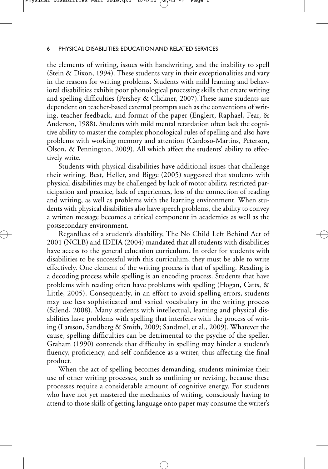the elements of writing, issues with handwriting, and the inability to spell (Stein & Dixon, 1994). These students vary in their exceptionalities and vary in the reasons for writing problems. Students with mild learning and behavioral disabilities exhibit poor phonological processing skills that create writing and spelling difficulties (Pershey & Clickner, 2007).These same students are dependent on teacher-based external prompts such as the conventions of writing, teacher feedback, and format of the paper (Englert, Raphael, Fear, & Anderson, 1988). Students with mild mental retardation often lack the cognitive ability to master the complex phonological rules of spelling and also have problems with working memory and attention (Cardoso-Martins, Peterson, Olson, & Pennington, 2009). All which affect the students' ability to effectively write.

Students with physical disabilities have additional issues that challenge their writing. Best, Heller, and Bigge (2005) suggested that students with physical disabilities may be challenged by lack of motor ability, restricted participation and practice, lack of experiences, loss of the connection of reading and writing, as well as problems with the learning environment. When students with physical disabilities also have speech problems, the ability to convey a written message becomes a critical component in academics as well as the postsecondary environment.

Regardless of a student's disability, The No Child Left Behind Act of 2001 (NCLB) and IDEIA (2004) mandated that all students with disabilities have access to the general education curriculum. In order for students with disabilities to be successful with this curriculum, they must be able to write effectively. One element of the writing process is that of spelling. Reading is a decoding process while spelling is an encoding process. Students that have problems with reading often have problems with spelling (Hogan, Catts, & Little, 2005). Consequently, in an effort to avoid spelling errors, students may use less sophisticated and varied vocabulary in the writing process (Salend, 2008). Many students with intellectual, learning and physical disabilities have problems with spelling that interferes with the process of writing (Larsson, Sandberg & Smith, 2009; Sandmel, et al., 2009). Whatever the cause, spelling difficulties can be detrimental to the psyche of the speller. Graham (1990) contends that difficulty in spelling may hinder a student's fluency, proficiency, and self-confidence as a writer, thus affecting the final product.

When the act of spelling becomes demanding, students minimize their use of other writing processes, such as outlining or revising, because these processes require a considerable amount of cognitive energy. For students who have not yet mastered the mechanics of writing, consciously having to attend to those skills of getting language onto paper may consume the writer's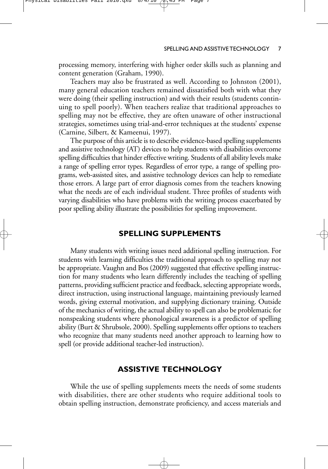processing memory, interfering with higher order skills such as planning and content generation (Graham, 1990).

Teachers may also be frustrated as well. According to Johnston (2001), many general education teachers remained dissatisfied both with what they were doing (their spelling instruction) and with their results (students continuing to spell poorly). When teachers realize that traditional approaches to spelling may not be effective, they are often unaware of other instructional strategies, sometimes using trial-and-error techniques at the students' expense (Carnine, Silbert, & Kameenui, 1997).

The purpose of this article is to describe evidence-based spelling supplements and assistive technology (AT) devices to help students with disabilities overcome spelling difficulties that hinder effective writing. Students of all ability levels make a range of spelling error types. Regardless of error type, a range of spelling programs, web-assisted sites, and assistive technology devices can help to remediate those errors. A large part of error diagnosis comes from the teachers knowing what the needs are of each individual student. Three profiles of students with varying disabilities who have problems with the writing process exacerbated by poor spelling ability illustrate the possibilities for spelling improvement.

# **SPELLING SUPPLEMENTS**

Many students with writing issues need additional spelling instruction. For students with learning difficulties the traditional approach to spelling may not be appropriate. Vaughn and Bos (2009) suggested that effective spelling instruction for many students who learn differently includes the teaching of spelling patterns, providing sufficient practice and feedback, selecting appropriate words, direct instruction, using instructional language, maintaining previously learned words, giving external motivation, and supplying dictionary training. Outside of the mechanics of writing, the actual ability to spell can also be problematic for nonspeaking students where phonological awareness is a predictor of spelling ability (Burt & Shrubsole, 2000). Spelling supplements offer options to teachers who recognize that many students need another approach to learning how to spell (or provide additional teacher-led instruction).

# **ASSISTIVE TECHNOLOGY**

While the use of spelling supplements meets the needs of some students with disabilities, there are other students who require additional tools to obtain spelling instruction, demonstrate proficiency, and access materials and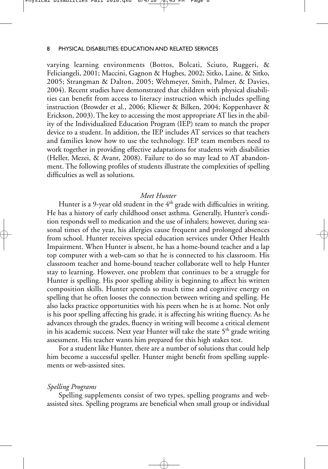varying learning environments (Bottos, Bolcati, Sciuto, Ruggeri, & Feliciangeli, 2001; Maccini, Gagnon & Hughes, 2002; Sitko, Laine, & Sitko, 2005; Strangman & Dalton, 2005; Wehmeyer, Smith, Palmer, & Davies, 2004). Recent studies have demonstrated that children with physical disabilities can benefit from access to literacy instruction which includes spelling instruction (Browder et al., 2006; Kliewer & Bilken, 2004; Koppenhaver & Erickson, 2003). The key to accessing the most appropriate AT lies in the ability of the Individualized Education Program (IEP) team to match the proper device to a student. In addition, the IEP includes AT services so that teachers and families know how to use the technology. IEP team members need to work together in providing effective adaptations for students with disabilities (Heller, Mezei, & Avant, 2008). Failure to do so may lead to AT abandonment. The following profiles of students illustrate the complexities of spelling difficulties as well as solutions.

### *Meet Hunter*

Hunter is a 9-year old student in the  $4<sup>th</sup>$  grade with difficulties in writing. He has a history of early childhood onset asthma. Generally, Hunter's condition responds well to medication and the use of inhalers; however, during seasonal times of the year, his allergies cause frequent and prolonged absences from school. Hunter receives special education services under Other Health Impairment. When Hunter is absent, he has a home-bound teacher and a lap top computer with a web-cam so that he is connected to his classroom. His classroom teacher and home-bound teacher collaborate well to help Hunter stay to learning. However, one problem that continues to be a struggle for Hunter is spelling. His poor spelling ability is beginning to affect his written composition skills. Hunter spends so much time and cognitive energy on spelling that he often looses the connection between writing and spelling. He also lacks practice opportunities with his peers when he is at home. Not only is his poor spelling affecting his grade, it is affecting his writing fluency. As he advances through the grades, fluency in writing will become a critical element in his academic success. Next year Hunter will take the state  $5<sup>th</sup>$  grade writing assessment. His teacher wants him prepared for this high stakes test.

For a student like Hunter, there are a number of solutions that could help him become a successful speller. Hunter might benefit from spelling supplements or web-assisted sites.

#### *Spelling Programs*

Spelling supplements consist of two types, spelling programs and webassisted sites. Spelling programs are beneficial when small group or individual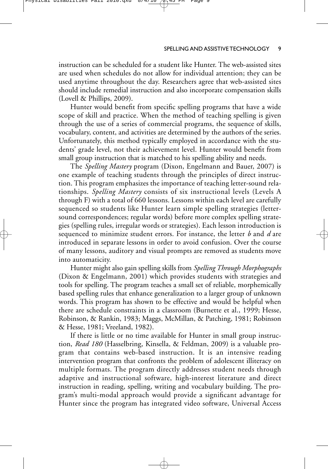instruction can be scheduled for a student like Hunter. The web-assisted sites are used when schedules do not allow for individual attention; they can be used anytime throughout the day. Researchers agree that web-assisted sites should include remedial instruction and also incorporate compensation skills (Lovell & Phillips, 2009).

Physical Disabilties Fall 2010.qxd 8/4/10 2:45 PM Page 9

Hunter would benefit from specific spelling programs that have a wide scope of skill and practice. When the method of teaching spelling is given through the use of a series of commercial programs, the sequence of skills, vocabulary, content, and activities are determined by the authors of the series. Unfortunately, this method typically employed in accordance with the students' grade level, not their achievement level. Hunter would benefit from small group instruction that is matched to his spelling ability and needs.

The *Spelling Mastery* program (Dixon, Engelmann and Bauer, 2007) is one example of teaching students through the principles of direct instruction. This program emphasizes the importance of teaching letter-sound relationships. *Spelling Mastery* consists of six instructional levels (Levels A through F) with a total of 660 lessons. Lessons within each level are carefully sequenced so students like Hunter learn simple spelling strategies (lettersound correspondences; regular words) before more complex spelling strategies (spelling rules, irregular words or strategies). Each lesson introduction is sequenced to minimize student errors. For instance, the letter *b* and *d* are introduced in separate lessons in order to avoid confusion. Over the course of many lessons, auditory and visual prompts are removed as students move into automaticity.

Hunter might also gain spelling skills from *Spelling Through Morphographs* (Dixon & Engelmann, 2001) which provides students with strategies and tools for spelling. The program teaches a small set of reliable, morphemically based spelling rules that enhance generalization to a larger group of unknown words. This program has shown to be effective and would be helpful when there are schedule constraints in a classroom (Burnette et al., 1999; Hesse, Robinson, & Rankin, 1983; Maggs, McMillan, & Patching, 1981; Robinson & Hesse, 1981; Vreeland, 1982).

If there is little or no time available for Hunter in small group instruction, *Read 180* (Hasselbring, Kinsella, & Feldman, 2009) is a valuable program that contains web-based instruction. It is an intensive reading intervention program that confronts the problem of adolescent illiteracy on multiple formats. The program directly addresses student needs through adaptive and instructional software, high-interest literature and direct instruction in reading, spelling, writing and vocabulary building. The program's multi-modal approach would provide a significant advantage for Hunter since the program has integrated video software, Universal Access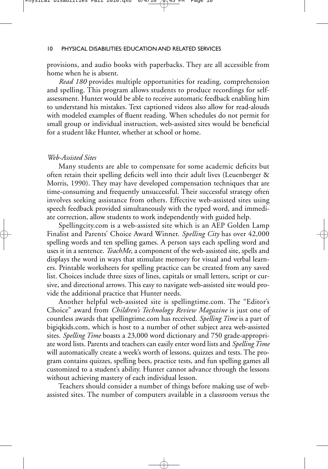provisions, and audio books with paperbacks. They are all accessible from home when he is absent.

*Read 180* provides multiple opportunities for reading, comprehension and spelling. This program allows students to produce recordings for selfassessment. Hunter would be able to receive automatic feedback enabling him to understand his mistakes. Text captioned videos also allow for read-alouds with modeled examples of fluent reading. When schedules do not permit for small group or individual instruction, web-assisted sites would be beneficial for a student like Hunter, whether at school or home.

#### *Web-Assisted Sites*

Many students are able to compensate for some academic deficits but often retain their spelling deficits well into their adult lives (Leuenberger & Morris, 1990). They may have developed compensation techniques that are time-consuming and frequently unsuccessful. Their successful strategy often involves seeking assistance from others. Effective web-assisted sites using speech feedback provided simultaneously with the typed word, and immediate correction, allow students to work independently with guided help.

Spellingcity.com is a web-assisted site which is an AEP Golden Lamp Finalist and Parents' Choice Award Winner. *Spelling City* has over 42,000 spelling words and ten spelling games. A person says each spelling word and uses it in a sentence. *TeachMe*, a component of the web-assisted site, spells and displays the word in ways that stimulate memory for visual and verbal learners. Printable worksheets for spelling practice can be created from any saved list. Choices include three sizes of lines, capitals or small letters, script or cursive, and directional arrows. This easy to navigate web-assisted site would provide the additional practice that Hunter needs.

Another helpful web-assisted site is spellingtime.com. The "Editor's Choice" award from *Children's Technology Review Magazine* is just one of countless awards that spellingtime.com has received. *Spelling Time* is a part of bigiqkids.com, which is host to a number of other subject area web-assisted sites. *Spelling Time* boasts a 23,000 word dictionary and 750 grade-appropriate word lists. Parents and teachers can easily enter word lists and *Spelling Time* will automatically create a week's worth of lessons, quizzes and tests. The program contains quizzes, spelling bees, practice tests, and fun spelling games all customized to a student's ability. Hunter cannot advance through the lessons without achieving mastery of each individual lesson.

Teachers should consider a number of things before making use of webassisted sites. The number of computers available in a classroom versus the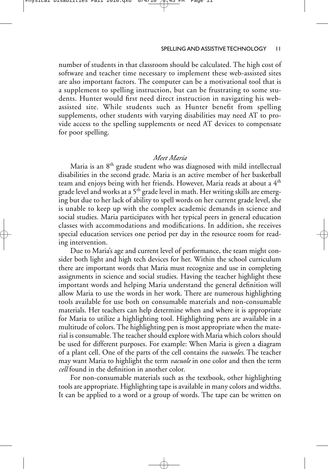number of students in that classroom should be calculated. The high cost of software and teacher time necessary to implement these web-assisted sites are also important factors. The computer can be a motivational tool that is a supplement to spelling instruction, but can be frustrating to some students. Hunter would first need direct instruction in navigating his webassisted site. While students such as Hunter benefit from spelling supplements, other students with varying disabilities may need AT to provide access to the spelling supplements or need AT devices to compensate for poor spelling.

# *Meet Maria*

Maria is an  $8<sup>th</sup>$  grade student who was diagnosed with mild intellectual disabilities in the second grade. Maria is an active member of her basketball team and enjoys being with her friends. However, Maria reads at about a 4th grade level and works at a 5<sup>th</sup> grade level in math. Her writing skills are emerging but due to her lack of ability to spell words on her current grade level, she is unable to keep up with the complex academic demands in science and social studies. Maria participates with her typical peers in general education classes with accommodations and modifications. In addition, she receives special education services one period per day in the resource room for reading intervention.

Due to Maria's age and current level of performance, the team might consider both light and high tech devices for her. Within the school curriculum there are important words that Maria must recognize and use in completing assignments in science and social studies. Having the teacher highlight these important words and helping Maria understand the general definition will allow Maria to use the words in her work. There are numerous highlighting tools available for use both on consumable materials and non-consumable materials. Her teachers can help determine when and where it is appropriate for Maria to utilize a highlighting tool. Highlighting pens are available in a multitude of colors. The highlighting pen is most appropriate when the material is consumable. The teacher should explore with Maria which colors should be used for different purposes. For example: When Maria is given a diagram of a plant cell. One of the parts of the cell contains the *vacuoles*. The teacher may want Maria to highlight the term *vacuole* in one color and then the term *cell* found in the definition in another color.

For non-consumable materials such as the textbook, other highlighting tools are appropriate. Highlighting tape is available in many colors and widths. It can be applied to a word or a group of words. The tape can be written on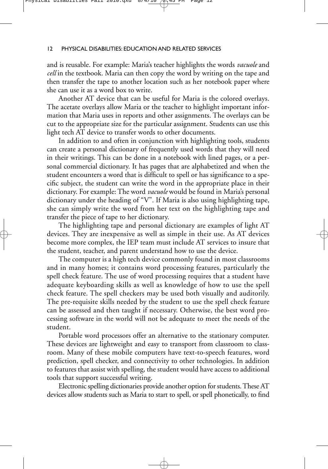and is reusable. For example: Maria's teacher highlights the words *vacuole* and *cell* in the textbook. Maria can then copy the word by writing on the tape and then transfer the tape to another location such as her notebook paper where she can use it as a word box to write.

Another AT device that can be useful for Maria is the colored overlays. The acetate overlays allow Maria or the teacher to highlight important information that Maria uses in reports and other assignments. The overlays can be cut to the appropriate size for the particular assignment. Students can use this light tech AT device to transfer words to other documents.

In addition to and often in conjunction with highlighting tools, students can create a personal dictionary of frequently used words that they will need in their writings. This can be done in a notebook with lined pages, or a personal commercial dictionary. It has pages that are alphabetized and when the student encounters a word that is difficult to spell or has significance to a specific subject, the student can write the word in the appropriate place in their dictionary. For example: The word *vacuole* would be found in Maria's personal dictionary under the heading of "V". If Maria is also using highlighting tape, she can simply write the word from her text on the highlighting tape and transfer the piece of tape to her dictionary.

The highlighting tape and personal dictionary are examples of light AT devices. They are inexpensive as well as simple in their use. As AT devices become more complex, the IEP team must include AT services to insure that the student, teacher, and parent understand how to use the device.

The computer is a high tech device commonly found in most classrooms and in many homes; it contains word processing features, particularly the spell check feature. The use of word processing requires that a student have adequate keyboarding skills as well as knowledge of how to use the spell check feature. The spell checkers may be used both visually and auditorily. The pre-requisite skills needed by the student to use the spell check feature can be assessed and then taught if necessary. Otherwise, the best word processing software in the world will not be adequate to meet the needs of the student.

Portable word processors offer an alternative to the stationary computer. These devices are lightweight and easy to transport from classroom to classroom. Many of these mobile computers have text-to-speech features, word prediction, spell checker, and connectivity to other technologies. In addition to features that assist with spelling, the student would have access to additional tools that support successful writing.

Electronic spelling dictionaries provide another option for students. These AT devices allow students such as Maria to start to spell, or spell phonetically, to find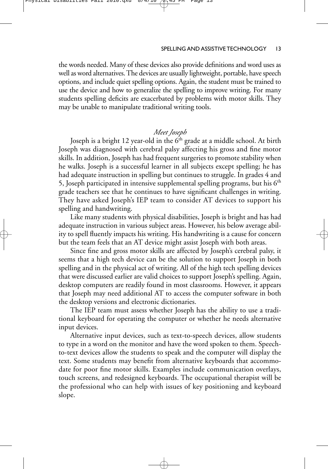#### Physical Disabilties Fall 2010.qxd

#### SPELLING AND ASSISTIVE TECHNOLOGY 13

the words needed. Many of these devices also provide definitions and word uses as well as word alternatives. The devices are usually lightweight, portable, have speech options, and include quiet spelling options. Again, the student must be trained to use the device and how to generalize the spelling to improve writing. For many students spelling deficits are exacerbated by problems with motor skills. They may be unable to manipulate traditional writing tools.

# *Meet Joseph*

Joseph is a bright 12 year-old in the  $6<sup>th</sup>$  grade at a middle school. At birth Joseph was diagnosed with cerebral palsy affecting his gross and fine motor skills. In addition, Joseph has had frequent surgeries to promote stability when he walks. Joseph is a successful learner in all subjects except spelling; he has had adequate instruction in spelling but continues to struggle. In grades 4 and 5, Joseph participated in intensive supplemental spelling programs, but his  $6<sup>th</sup>$ grade teachers see that he continues to have significant challenges in writing. They have asked Joseph's IEP team to consider AT devices to support his spelling and handwriting.

Like many students with physical disabilities, Joseph is bright and has had adequate instruction in various subject areas. However, his below average ability to spell fluently impacts his writing. His handwriting is a cause for concern but the team feels that an AT device might assist Joseph with both areas.

Since fine and gross motor skills are affected by Joseph's cerebral palsy, it seems that a high tech device can be the solution to support Joseph in both spelling and in the physical act of writing. All of the high tech spelling devices that were discussed earlier are valid choices to support Joseph's spelling. Again, desktop computers are readily found in most classrooms. However, it appears that Joseph may need additional AT to access the computer software in both the desktop versions and electronic dictionaries.

The IEP team must assess whether Joseph has the ability to use a traditional keyboard for operating the computer or whether he needs alternative input devices.

Alternative input devices, such as text-to-speech devices, allow students to type in a word on the monitor and have the word spoken to them. Speechto-text devices allow the students to speak and the computer will display the text. Some students may benefit from alternative keyboards that accommodate for poor fine motor skills. Examples include communication overlays, touch screens, and redesigned keyboards. The occupational therapist will be the professional who can help with issues of key positioning and keyboard slope.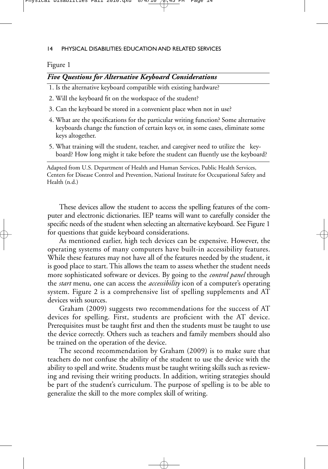Physical Disabilties Fall 2010.qxd  $8/4/10$   $(2.45)$  PM Page 14

## 14 PHYSICAL DISABILITIES: EDUCATION AND RELATED SERVICES

## Figure 1

# *Five Questions for Alternative Keyboard Considerations*

1. Is the alternative keyboard compatible with existing hardware?

- 2. Will the keyboard fit on the workspace of the student?
- 3. Can the keyboard be stored in a convenient place when not in use?
- 4. What are the specifications for the particular writing function? Some alternative keyboards change the function of certain keys or, in some cases, eliminate some keys altogether.
- 5. What training will the student, teacher, and caregiver need to utilize the keyboard? How long might it take before the student can fluently use the keyboard?

Adapted from U.S. Department of Health and Human Services, Public Health Services, Centers for Disease Control and Prevention, National Institute for Occupational Safety and Health (n.d.)

These devices allow the student to access the spelling features of the computer and electronic dictionaries. IEP teams will want to carefully consider the specific needs of the student when selecting an alternative keyboard. See Figure 1 for questions that guide keyboard considerations.

As mentioned earlier, high tech devices can be expensive. However, the operating systems of many computers have built-in accessibility features. While these features may not have all of the features needed by the student, it is good place to start. This allows the team to assess whether the student needs more sophisticated software or devices. By going to the *control panel* through the *start* menu, one can access the *accessibility* icon of a computer's operating system. Figure 2 is a comprehensive list of spelling supplements and AT devices with sources.

Graham (2009) suggests two recommendations for the success of AT devices for spelling. First, students are proficient with the AT device. Prerequisites must be taught first and then the students must be taught to use the device correctly. Others such as teachers and family members should also be trained on the operation of the device.

The second recommendation by Graham (2009) is to make sure that teachers do not confuse the ability of the student to use the device with the ability to spell and write. Students must be taught writing skills such as reviewing and revising their writing products. In addition, writing strategies should be part of the student's curriculum. The purpose of spelling is to be able to generalize the skill to the more complex skill of writing.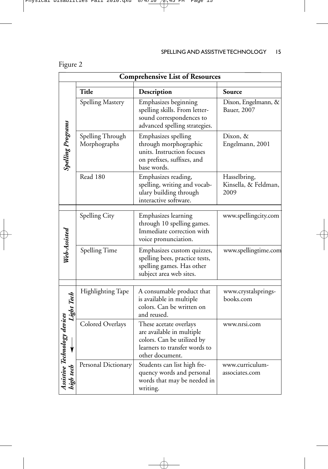| <b>Comprehensive List of Resources</b> |                                  |                                                                                                                                       |                                              |  |  |
|----------------------------------------|----------------------------------|---------------------------------------------------------------------------------------------------------------------------------------|----------------------------------------------|--|--|
|                                        | <b>Title</b>                     | Description                                                                                                                           | Source                                       |  |  |
| <b>Spelling Programs</b>               | Spelling Mastery                 | Emphasizes beginning<br>spelling skills. From letter-<br>sound correspondences to<br>advanced spelling strategies.                    | Dixon, Engelmann, &<br>Bauer, 2007           |  |  |
|                                        | Spelling Through<br>Morphographs | Emphasizes spelling<br>through morphographic<br>units. Instruction focuses<br>on prefixes, suffixes, and<br>base words.               | Dixon, &<br>Engelmann, 2001                  |  |  |
|                                        | Read 180                         | Emphasizes reading,<br>spelling, writing and vocab-<br>ulary building through<br>interactive software.                                | Hasselbring,<br>Kinsella, & Feldman,<br>2009 |  |  |
| Web-Assisted                           | Spelling City                    | <b>Emphasizes</b> learning<br>through 10 spelling games.<br>Immediate correction with<br>voice pronunciation.                         | www.spellingcity.com                         |  |  |
|                                        | Spelling Time                    | Emphasizes custom quizzes,<br>spelling bees, practice tests,<br>spelling games. Has other<br>subject area web sites.                  | www.spellingtime.com                         |  |  |
| Light Tech                             | Highlighting Tape                | A consumable product that<br>is available in multiple<br>colors. Can be written on<br>and reused.                                     | www.crystalsprings-<br>books.com             |  |  |
|                                        | Colored Overlays                 | These acetate overlays<br>are available in multiple<br>colors. Can be utilized by<br>learners to transfer words to<br>other document. | www.nrsi.com                                 |  |  |
|                                        | Personal Dictionary              | Students can list high fre-<br>quency words and personal<br>words that may be needed in<br>writing.                                   | www.curriculum-<br>associates.com            |  |  |

 $\overline{\oplus}$ 

# Figure 2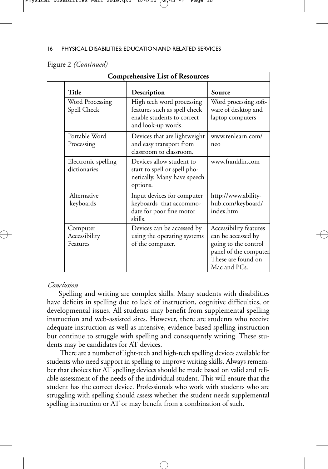|  | Figure 2 (Continued) |
|--|----------------------|
|  |                      |

| <b>Comprehensive List of Resources</b> |                                                                                                               |                                                                                                                                      |  |  |  |
|----------------------------------------|---------------------------------------------------------------------------------------------------------------|--------------------------------------------------------------------------------------------------------------------------------------|--|--|--|
| Title                                  | Description                                                                                                   | Source                                                                                                                               |  |  |  |
| Word Processing<br>Spell Check         | High tech word processing<br>features such as spell check<br>enable students to correct<br>and look-up words. | Word processing soft-<br>ware of desktop and<br>laptop computers                                                                     |  |  |  |
| Portable Word<br>Processing            | Devices that are lightweight<br>and easy transport from<br>classroom to classroom.                            | www.renlearn.com/<br>neo                                                                                                             |  |  |  |
| Electronic spelling<br>dictionaries    | Devices allow student to<br>start to spell or spell pho-<br>netically. Many have speech<br>options.           | www.franklin.com                                                                                                                     |  |  |  |
| Alternative<br>keyboards               | Input devices for computer<br>keyboards that accommo-<br>date for poor fine motor<br>skills.                  | http://www.ability-<br>hub.com/keyboard/<br>index.htm                                                                                |  |  |  |
| Computer<br>Accessibility<br>Features  | Devices can be accessed by<br>using the operating systems<br>of the computer.                                 | Accessibility features<br>can be accessed by<br>going to the control<br>panel of the computer.<br>These are found on<br>Mac and PCs. |  |  |  |

#### *Conclusion*

Spelling and writing are complex skills. Many students with disabilities have deficits in spelling due to lack of instruction, cognitive difficulties, or developmental issues. All students may benefit from supplemental spelling instruction and web-assisted sites. However, there are students who receive adequate instruction as well as intensive, evidence-based spelling instruction but continue to struggle with spelling and consequently writing. These students may be candidates for AT devices.

There are a number of light-tech and high-tech spelling devices available for students who need support in spelling to improve writing skills. Always remember that choices for AT spelling devices should be made based on valid and reliable assessment of the needs of the individual student. This will ensure that the student has the correct device. Professionals who work with students who are struggling with spelling should assess whether the student needs supplemental spelling instruction or AT or may benefit from a combination of such.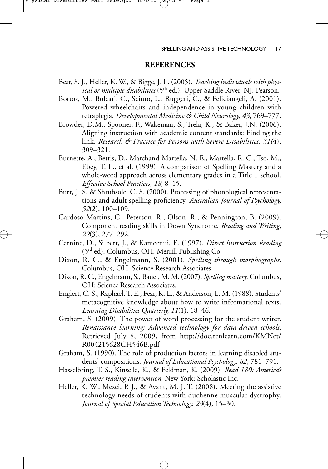Physical Disabilties Fall 2010.qxd  $8/4/10$   $(2.45)$  PM Page 17

#### SPELLING AND ASSISTIVE TECHNOLOGY 17

## **REFERENCES**

- Best, S. J., Heller, K. W., & Bigge, J. L. (2005). *Teaching individuals with physical or multiple disabilities* (5th ed.). Upper Saddle River, NJ: Pearson.
- Bottos, M., Bolcati, C., Sciuto, L., Ruggeri, C., & Feliciangeli, A. (2001). Powered wheelchairs and independence in young children with tetraplegia. *Developmental Medicine & Child Neurology, 43*, 769–777.
- Browder, D.M., Spooner, F., Wakeman, S., Trela, K., & Baker, J.N. (2006). Aligning instruction with academic content standards: Finding the link. *Research & Practice for Persons with Severe Disabilities, 31(*4), 309–321.
- Burnette, A., Bettis, D., Marchand-Martella, N. E., Martella, R. C., Tso, M., Ebey, T. L., et al. (1999). A comparison of Spelling Mastery and a whole-word approach across elementary grades in a Title 1 school. *Effective School Practices, 18*, 8–15.
- Burt, J. S. & Shrubsole, C. S. (2000). Processing of phonological representations and adult spelling proficiency. *Australian Journal of Psychology, 52*(2), 100–109.
- Cardoso-Martins, C., Peterson, R., Olson, R., & Pennington, B. (2009). Component reading skills in Down Syndrome. *Reading and Writing, 22*(3), 277–292.
- Carnine, D., Silbert, J., & Kameenui, E. (1997). *Direct Instruction Reading* (3rd ed). Columbus, OH: Merrill Publishing Co.
- Dixon, R. C., & Engelmann, S. (2001). *Spelling through morphographs*. Columbus, OH: Science Research Associates.
- Dixon, R. C., Engelmann, S., Bauer, M. M. (2007). *Spelling mastery*. Columbus, OH: Science Research Associates.
- Englert, C. S., Raphael, T. E., Fear, K. L., & Anderson, L. M. (1988). Students' metacognitive knowledge about how to write informational texts. *Learning Disabilities Quarterly, 11*(1), 18–46.
- Graham, S. (2009). The power of word processing for the student writer. *Renaissance learning: Advanced technology for data-driven schools.* Retrieved July 8, 2009, from http://doc.renlearn.com/KMNet/ R004215628GH546B.pdf
- Graham, S. (1990). The role of production factors in learning disabled students' compositions. *Journal of Educational Psychology, 82*, 781–791.
- Hasselbring, T. S., Kinsella, K., & Feldman, K. (2009). *Read 180: America's premier reading intervention*. New York: Scholastic Inc.
- Heller, K. W., Mezei, P. J., & Avant, M. J. T. (2008). Meeting the assistive technology needs of students with duchenne muscular dystrophy. *Journal of Special Education Technology, 23*(4), 15–30.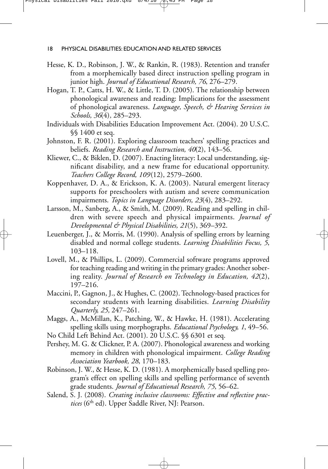- Hesse, K. D., Robinson, J. W., & Rankin, R. (1983). Retention and transfer from a morphemically based direct instruction spelling program in junior high. *Journal of Educational Research, 76*, 276–279.
- Hogan, T. P., Catts, H. W., & Little, T. D. (2005). The relationship between phonological awareness and reading: Implications for the assessment of phonological awareness. *Language, Speech, & Hearing Services in Schools, 36*(4)*,* 285–293.
- Individuals with Disabilities Education Improvement Act. (2004). 20 U.S.C. §§ 1400 et seq.
- Johnston, F. R. (2001). Exploring classroom teachers' spelling practices and beliefs. *Reading Research and Instruction, 40*(2), 143–56.
- Kliewer, C., & Biklen, D. (2007). Enacting literacy: Local understanding, significant disability, and a new frame for educational opportunity. *Teachers College Record, 109*(12), 2579–2600.
- Koppenhaver, D. A., & Erickson, K. A. (2003). Natural emergent literacy supports for preschoolers with autism and severe communication impairments. *Topics in Language Disorders, 23*(4), 283–292.
- Larsson, M., Sanberg, A., & Smith, M. (2009). Reading and spelling in children with severe speech and physical impairments. *Journal of Developmental & Physical Disabilities, 21*(5), 369–392.
- Leuenberger, J., & Morris, M. (1990). Analysis of spelling errors by learning disabled and normal college students. *Learning Disabilities Focus, 5*, 103–118.
- Lovell, M., & Phillips, L. (2009). Commercial software programs approved for teaching reading and writing in the primary grades: Another sobering reality. *Journal of Research on Technology in Education, 42*(2), 197–216.
- Maccini, P., Gagnon, J., & Hughes, C. (2002). Technology-based practices for secondary students with learning disabilities. *Learning Disability Quarterly, 25,* 247–261.
- Maggs, A., McMillan, K., Patching, W., & Hawke, H. (1981). Accelerating spelling skills using morphographs. *Educational Psychology, 1*, 49–56.
- No Child Left Behind Act. (2001). 20 U.S.C. §§ 6301 et seq.
- Pershey, M. G. & Clickner, P. A. (2007). Phonological awareness and working memory in children with phonological impairment. *College Reading Association Yearbook, 28*, 170–183.
- Robinson, J. W., & Hesse, K. D. (1981). A morphemically based spelling program's effect on spelling skills and spelling performance of seventh grade students. *Journal of Educational Research, 75*, 56–62.
- Salend, S. J. (2008). *Creating inclusive classrooms: Effective and reflective prac*tices (6<sup>th</sup> ed). Upper Saddle River, NJ: Pearson.